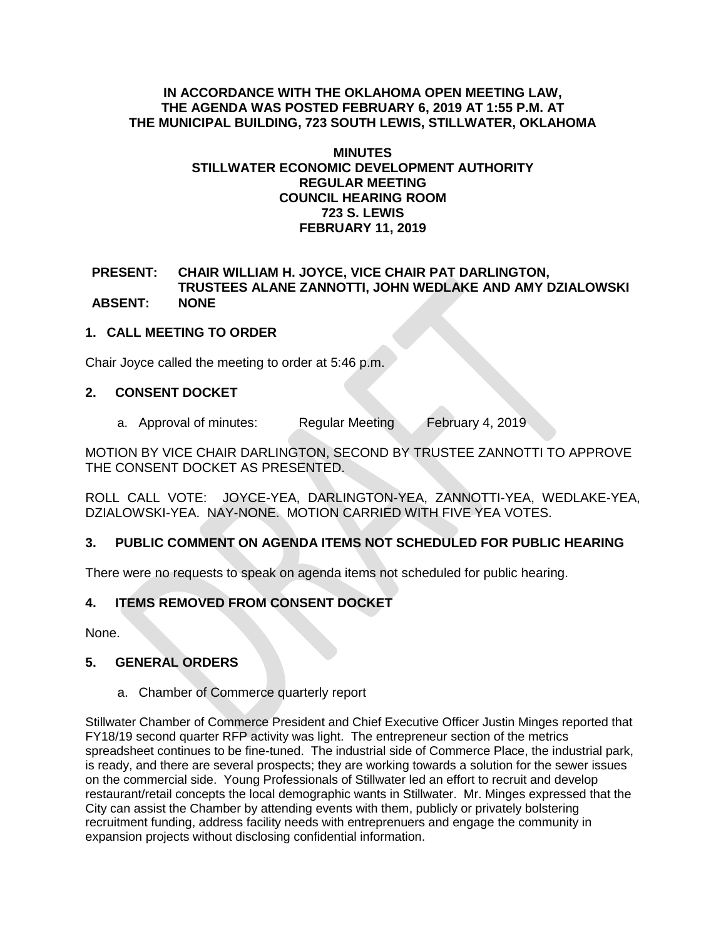### **IN ACCORDANCE WITH THE OKLAHOMA OPEN MEETING LAW, THE AGENDA WAS POSTED FEBRUARY 6, 2019 AT 1:55 P.M. AT THE MUNICIPAL BUILDING, 723 SOUTH LEWIS, STILLWATER, OKLAHOMA**

#### **MINUTES STILLWATER ECONOMIC DEVELOPMENT AUTHORITY REGULAR MEETING COUNCIL HEARING ROOM 723 S. LEWIS FEBRUARY 11, 2019**

### **PRESENT: CHAIR WILLIAM H. JOYCE, VICE CHAIR PAT DARLINGTON, TRUSTEES ALANE ZANNOTTI, JOHN WEDLAKE AND AMY DZIALOWSKI ABSENT: NONE**

# **1. CALL MEETING TO ORDER**

Chair Joyce called the meeting to order at 5:46 p.m.

### **2. CONSENT DOCKET**

a. Approval of minutes: Regular Meeting February 4, 2019

MOTION BY VICE CHAIR DARLINGTON, SECOND BY TRUSTEE ZANNOTTI TO APPROVE THE CONSENT DOCKET AS PRESENTED.

ROLL CALL VOTE: JOYCE-YEA, DARLINGTON-YEA, ZANNOTTI-YEA, WEDLAKE-YEA, DZIALOWSKI-YEA. NAY-NONE. MOTION CARRIED WITH FIVE YEA VOTES.

### **3. PUBLIC COMMENT ON AGENDA ITEMS NOT SCHEDULED FOR PUBLIC HEARING**

There were no requests to speak on agenda items not scheduled for public hearing.

# **4. ITEMS REMOVED FROM CONSENT DOCKET**

None.

### **5. GENERAL ORDERS**

a. Chamber of Commerce quarterly report

Stillwater Chamber of Commerce President and Chief Executive Officer Justin Minges reported that FY18/19 second quarter RFP activity was light. The entrepreneur section of the metrics spreadsheet continues to be fine-tuned. The industrial side of Commerce Place, the industrial park, is ready, and there are several prospects; they are working towards a solution for the sewer issues on the commercial side. Young Professionals of Stillwater led an effort to recruit and develop restaurant/retail concepts the local demographic wants in Stillwater. Mr. Minges expressed that the City can assist the Chamber by attending events with them, publicly or privately bolstering recruitment funding, address facility needs with entreprenuers and engage the community in expansion projects without disclosing confidential information.